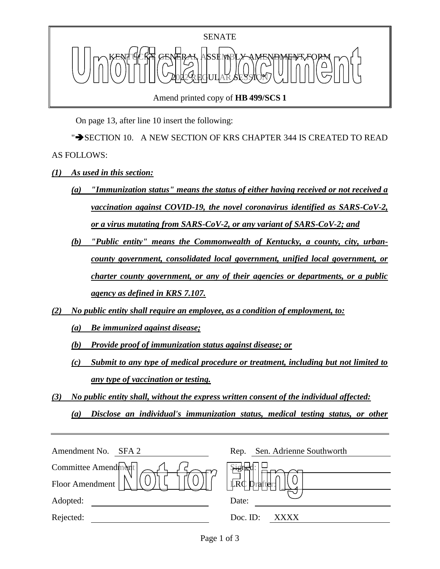

Amend printed copy of **HB 499/SCS 1**

On page 13, after line 10 insert the following:

">SECTION 10. A NEW SECTION OF KRS CHAPTER 344 IS CREATED TO READ AS FOLLOWS:

- *(1) As used in this section:*
	- *(a) "Immunization status" means the status of either having received or not received a vaccination against COVID-19, the novel coronavirus identified as SARS-CoV-2, or a virus mutating from SARS-CoV-2, or any variant of SARS-CoV-2; and*
	- *(b) "Public entity" means the Commonwealth of Kentucky, a county, city, urbancounty government, consolidated local government, unified local government, or charter county government, or any of their agencies or departments, or a public agency as defined in KRS 7.107.*
- *(2) No public entity shall require an employee, as a condition of employment, to:*
	- *(a) Be immunized against disease;*
	- *(b) Provide proof of immunization status against disease; or*
	- *(c) Submit to any type of medical procedure or treatment, including but not limited to any type of vaccination or testing.*
- *(3) No public entity shall, without the express written consent of the individual affected:*

*(a) Disclose an individual's immunization status, medical testing status, or other* 

| Amendment No.<br>SFA <sub>2</sub> | Sen. Adrienne Southworth<br>Rep. |
|-----------------------------------|----------------------------------|
| Committee Amendment               |                                  |
| Floor Amendment                   | LRC Drafter:                     |
| Adopted:                          | Date:                            |
| Rejected:                         | Doc. ID:<br>XXXX                 |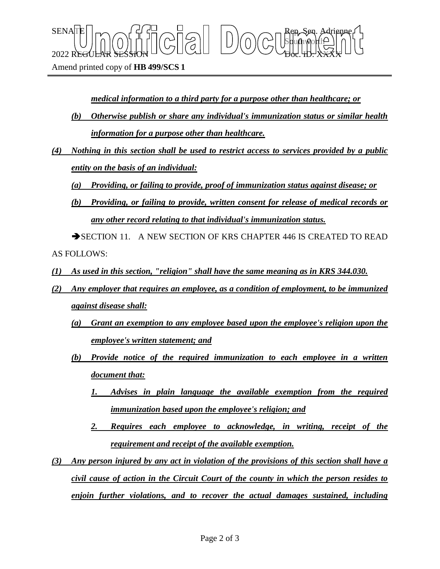Amend printed copy of **HB 499/SCS 1**

*medical information to a third party for a purpose other than healthcare; or*

Sbufhworth

 $\text{SENA}[\mathbb{E} | \mid_{\mathsf{T}} \frown \bigcap_{\mathsf{S}} \mathsf{G}] \frown \bigcup_{\mathsf{S}} \bigcap_{\mathsf{S}} \bigcap_{\mathsf{S}} \bigcap_{\mathsf{S}} \bigcap_{\mathsf{S}} \bigcap_{\mathsf{S}} \mathsf{G} \mathsf{G} \bigcap_{\mathsf{S}} \mathsf{G} \mathsf{G} \bigcap_{\mathsf{S}} \mathsf{G} \bigcap_{\mathsf{S}} \mathsf{G} \bigcap_{\mathsf{S}} \mathsf{G} \bigcap_{\mathsf{S}} \mathsf{G} \bigcap_{\mathsf{S}} \mathsf{G} \big$ 

 $2022$  REGULAR SESSION DOLLOURED DO COURT TO CHARLED.  $\chi_{\rm{H}}$ 

- *(b) Otherwise publish or share any individual's immunization status or similar health information for a purpose other than healthcare.*
- *(4) Nothing in this section shall be used to restrict access to services provided by a public entity on the basis of an individual:*

*(a) Providing, or failing to provide, proof of immunization status against disease; or*

*(b) Providing, or failing to provide, written consent for release of medical records or any other record relating to that individual's immunization status.*

SECTION 11. A NEW SECTION OF KRS CHAPTER 446 IS CREATED TO READ AS FOLLOWS:

- *(1) As used in this section, "religion" shall have the same meaning as in KRS 344.030.*
- *(2) Any employer that requires an employee, as a condition of employment, to be immunized against disease shall:*
	- *(a) Grant an exemption to any employee based upon the employee's religion upon the employee's written statement; and*
	- *(b) Provide notice of the required immunization to each employee in a written document that:*
		- *1. Advises in plain language the available exemption from the required immunization based upon the employee's religion; and*
		- *2. Requires each employee to acknowledge, in writing, receipt of the requirement and receipt of the available exemption.*
- *(3) Any person injured by any act in violation of the provisions of this section shall have a civil cause of action in the Circuit Court of the county in which the person resides to enjoin further violations, and to recover the actual damages sustained, including*